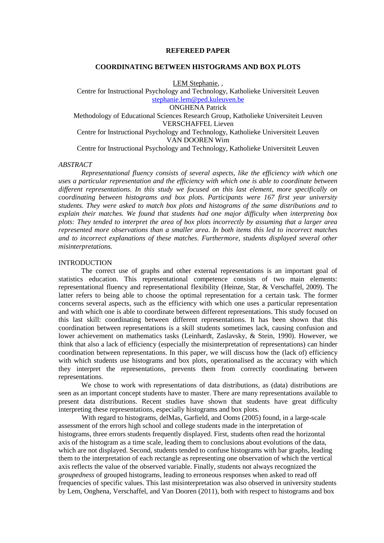#### **REFEREED PAPER**

# **COORDINATING BETWEEN HISTOGRAMS AND BOX PLOTS**

LEM Stephanie, ,

Centre for Instructional Psychology and Technology, Katholieke Universiteit Leuven [stephanie.lem@ped.kuleuven.be](mailto:stephanie.lem@ped.kuleuven.be) ONGHENA Patrick Methodology of Educational Sciences Research Group, Katholieke Universiteit Leuven VERSCHAFFEL Lieven Centre for Instructional Psychology and Technology, Katholieke Universiteit Leuven VAN DOOREN Wim

Centre for Instructional Psychology and Technology, Katholieke Universiteit Leuven

#### *ABSTRACT*

*Representational fluency consists of several aspects, like the efficiency with which one uses a particular representation and the efficiency with which one is able to coordinate between different representations. In this study we focused on this last element, more specifically on coordinating between histograms and box plots. Participants were 167 first year university students. They were asked to match box plots and histograms of the same distributions and to explain their matches. We found that students had one major difficulty when interpreting box plots: They tended to interpret the area of box plots incorrectly by assuming that a larger area represented more observations than a smaller area. In both items this led to incorrect matches and to incorrect explanations of these matches. Furthermore, students displayed several other misinterpretations.* 

#### **INTRODUCTION**

The correct use of graphs and other external representations is an important goal of statistics education. This representational competence consists of two main elements: representational fluency and representational flexibility (Heinze, Star, & Verschaffel, 2009). The latter refers to being able to choose the optimal representation for a certain task. The former concerns several aspects, such as the efficiency with which one uses a particular representation and with which one is able to coordinate between different representations. This study focused on this last skill: coordinating between different representations. It has been shown that this coordination between representations is a skill students sometimes lack, causing confusion and lower achievement on mathematics tasks (Leinhardt, Zaslavsky, & Stein, 1990). However, we think that also a lack of efficiency (especially the misinterpretation of representations) can hinder coordination between representations. In this paper, we will discuss how the (lack of) efficiency with which students use histograms and box plots, operationalised as the accuracy with which they interpret the representations, prevents them from correctly coordinating between representations.

We chose to work with representations of data distributions, as (data) distributions are seen as an important concept students have to master. There are many representations available to present data distributions. Recent studies have shown that students have great difficulty interpreting these representations, especially histograms and box plots.

With regard to histograms, delMas, Garfield, and Ooms (2005) found, in a large-scale assessment of the errors high school and college students made in the interpretation of histograms, three errors students frequently displayed. First, students often read the horizontal axis of the histogram as a time scale, leading them to conclusions about evolutions of the data, which are not displayed. Second, students tended to confuse histograms with bar graphs, leading them to the interpretation of each rectangle as representing one observation of which the vertical axis reflects the value of the observed variable. Finally, students not always recognized the *groupedness* of grouped histograms, leading to erroneous responses when asked to read off frequencies of specific values. This last misinterpretation was also observed in university students by Lem, Onghena, Verschaffel, and Van Dooren (2011), both with respect to histograms and box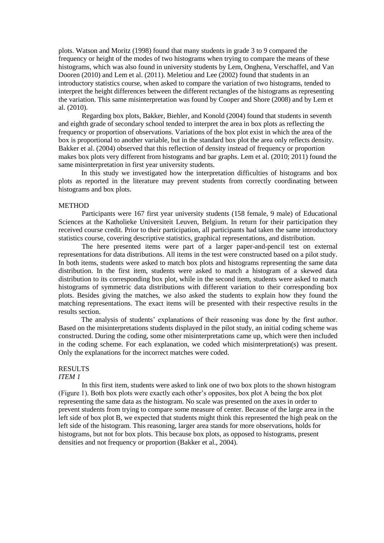plots. Watson and Moritz (1998) found that many students in grade 3 to 9 compared the frequency or height of the modes of two histograms when trying to compare the means of these histograms, which was also found in university students by Lem, Onghena, Verschaffel, and Van Dooren (2010) and Lem et al. (2011). Meletiou and Lee (2002) found that students in an introductory statistics course, when asked to compare the variation of two histograms, tended to interpret the height differences between the different rectangles of the histograms as representing the variation. This same misinterpretation was found by Cooper and Shore (2008) and by Lem et al. (2010).

Regarding box plots, Bakker, Biehler, and Konold (2004) found that students in seventh and eighth grade of secondary school tended to interpret the area in box plots as reflecting the frequency or proportion of observations. Variations of the box plot exist in which the area of the box is proportional to another variable, but in the standard box plot the area only reflects density. Bakker et al. (2004) observed that this reflection of density instead of frequency or proportion makes box plots very different from histograms and bar graphs. Lem et al. (2010; 2011) found the same misinterpretation in first year university students.

In this study we investigated how the interpretation difficulties of histograms and box plots as reported in the literature may prevent students from correctly coordinating between histograms and box plots.

#### **METHOD**

Participants were 167 first year university students (158 female, 9 male) of Educational Sciences at the Katholieke Universiteit Leuven, Belgium. In return for their participation they received course credit. Prior to their participation, all participants had taken the same introductory statistics course, covering descriptive statistics, graphical representations, and distribution.

The here presented items were part of a larger paper-and-pencil test on external representations for data distributions. All items in the test were constructed based on a pilot study. In both items, students were asked to match box plots and histograms representing the same data distribution. In the first item, students were asked to match a histogram of a skewed data distribution to its corresponding box plot, while in the second item, students were asked to match histograms of symmetric data distributions with different variation to their corresponding box plots. Besides giving the matches, we also asked the students to explain how they found the matching representations. The exact items will be presented with their respective results in the results section.

The analysis of students' explanations of their reasoning was done by the first author. Based on the misinterpretations students displayed in the pilot study, an initial coding scheme was constructed. During the coding, some other misinterpretations came up, which were then included in the coding scheme. For each explanation, we coded which misinterpretation(s) was present. Only the explanations for the incorrect matches were coded.

# RESULTS

## *ITEM 1*

In this first item, students were asked to link one of two box plots to the shown histogram (Figure 1). Both box plots were exactly each other's opposites, box plot A being the box plot representing the same data as the histogram. No scale was presented on the axes in order to prevent students from trying to compare some measure of center. Because of the large area in the left side of box plot B, we expected that students might think this represented the high peak on the left side of the histogram. This reasoning, larger area stands for more observations, holds for histograms, but not for box plots. This because box plots, as opposed to histograms, present densities and not frequency or proportion (Bakker et al., 2004).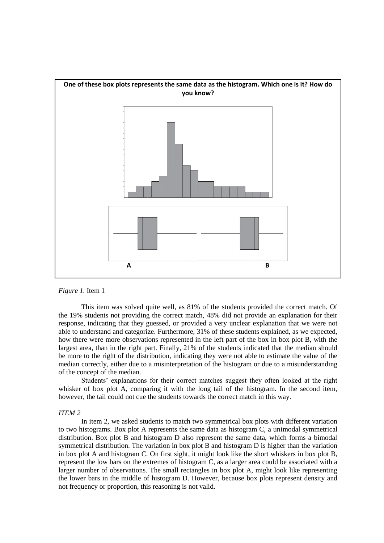

*Figure 1.* Item 1

This item was solved quite well, as 81% of the students provided the correct match. Of the 19% students not providing the correct match, 48% did not provide an explanation for their response, indicating that they guessed, or provided a very unclear explanation that we were not able to understand and categorize. Furthermore, 31% of these students explained, as we expected, how there were more observations represented in the left part of the box in box plot B, with the largest area, than in the right part. Finally, 21% of the students indicated that the median should be more to the right of the distribution, indicating they were not able to estimate the value of the median correctly, either due to a misinterpretation of the histogram or due to a misunderstanding of the concept of the median.

Students' explanations for their correct matches suggest they often looked at the right whisker of box plot A, comparing it with the long tail of the histogram. In the second item, however, the tail could not cue the students towards the correct match in this way.

#### *ITEM 2*

In item 2, we asked students to match two symmetrical box plots with different variation to two histograms. Box plot A represents the same data as histogram C, a unimodal symmetrical distribution. Box plot B and histogram D also represent the same data, which forms a bimodal symmetrical distribution. The variation in box plot B and histogram D is higher than the variation in box plot A and histogram C. On first sight, it might look like the short whiskers in box plot B, represent the low bars on the extremes of histogram C, as a larger area could be associated with a larger number of observations. The small rectangles in box plot A, might look like representing the lower bars in the middle of histogram D. However, because box plots represent density and not frequency or proportion, this reasoning is not valid.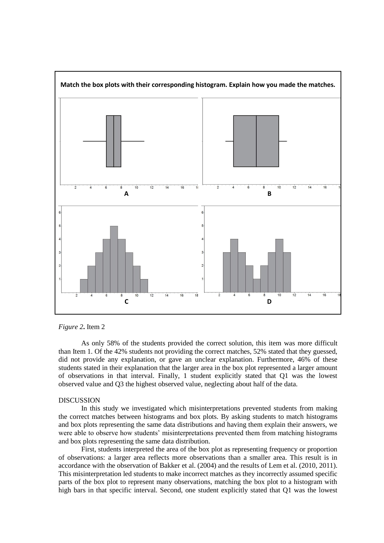

*Figure 2***.** Item 2

As only 58% of the students provided the correct solution, this item was more difficult than Item 1. Of the 42% students not providing the correct matches, 52% stated that they guessed, did not provide any explanation, or gave an unclear explanation. Furthermore, 46% of these students stated in their explanation that the larger area in the box plot represented a larger amount of observations in that interval. Finally, 1 student explicitly stated that Q1 was the lowest observed value and Q3 the highest observed value, neglecting about half of the data.

### **DISCUSSION**

In this study we investigated which misinterpretations prevented students from making the correct matches between histograms and box plots. By asking students to match histograms and box plots representing the same data distributions and having them explain their answers, we were able to observe how students' misinterpretations prevented them from matching histograms and box plots representing the same data distribution.

First, students interpreted the area of the box plot as representing frequency or proportion of observations: a larger area reflects more observations than a smaller area. This result is in accordance with the observation of Bakker et al. (2004) and the results of Lem et al. (2010, 2011). This misinterpretation led students to make incorrect matches as they incorrectly assumed specific parts of the box plot to represent many observations, matching the box plot to a histogram with high bars in that specific interval. Second, one student explicitly stated that Q1 was the lowest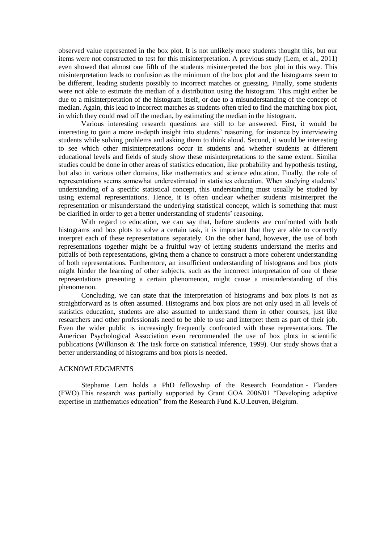observed value represented in the box plot. It is not unlikely more students thought this, but our items were not constructed to test for this misinterpretation. A previous study (Lem, et al., 2011) even showed that almost one fifth of the students misinterpreted the box plot in this way. This misinterpretation leads to confusion as the minimum of the box plot and the histograms seem to be different, leading students possibly to incorrect matches or guessing. Finally, some students were not able to estimate the median of a distribution using the histogram. This might either be due to a misinterpretation of the histogram itself, or due to a misunderstanding of the concept of median. Again, this lead to incorrect matches as students often tried to find the matching box plot, in which they could read off the median, by estimating the median in the histogram.

Various interesting research questions are still to be answered. First, it would be interesting to gain a more in-depth insight into students' reasoning, for instance by interviewing students while solving problems and asking them to think aloud. Second, it would be interesting to see which other misinterpretations occur in students and whether students at different educational levels and fields of study show these misinterpretations to the same extent. Similar studies could be done in other areas of statistics education, like probability and hypothesis testing, but also in various other domains, like mathematics and science education. Finally, the role of representations seems somewhat underestimated in statistics education. When studying students' understanding of a specific statistical concept, this understanding must usually be studied by using external representations. Hence, it is often unclear whether students misinterpret the representation or misunderstand the underlying statistical concept, which is something that must be clarified in order to get a better understanding of students' reasoning.

With regard to education, we can say that, before students are confronted with both histograms and box plots to solve a certain task, it is important that they are able to correctly interpret each of these representations separately. On the other hand, however, the use of both representations together might be a fruitful way of letting students understand the merits and pitfalls of both representations, giving them a chance to construct a more coherent understanding of both representations. Furthermore, an insufficient understanding of histograms and box plots might hinder the learning of other subjects, such as the incorrect interpretation of one of these representations presenting a certain phenomenon, might cause a misunderstanding of this phenomenon.

Concluding, we can state that the interpretation of histograms and box plots is not as straightforward as is often assumed. Histograms and box plots are not only used in all levels of statistics education, students are also assumed to understand them in other courses, just like researchers and other professionals need to be able to use and interpret them as part of their job. Even the wider public is increasingly frequently confronted with these representations. The American Psychological Association even recommended the use of box plots in scientific publications (Wilkinson & The task force on statistical inference, 1999). Our study shows that a better understanding of histograms and box plots is needed.

# ACKNOWLEDGMENTS

Stephanie Lem holds a PhD fellowship of the Research Foundation - Flanders (FWO).This research was partially supported by Grant GOA 2006/01 "Developing adaptive expertise in mathematics education" from the Research Fund K.U.Leuven, Belgium.